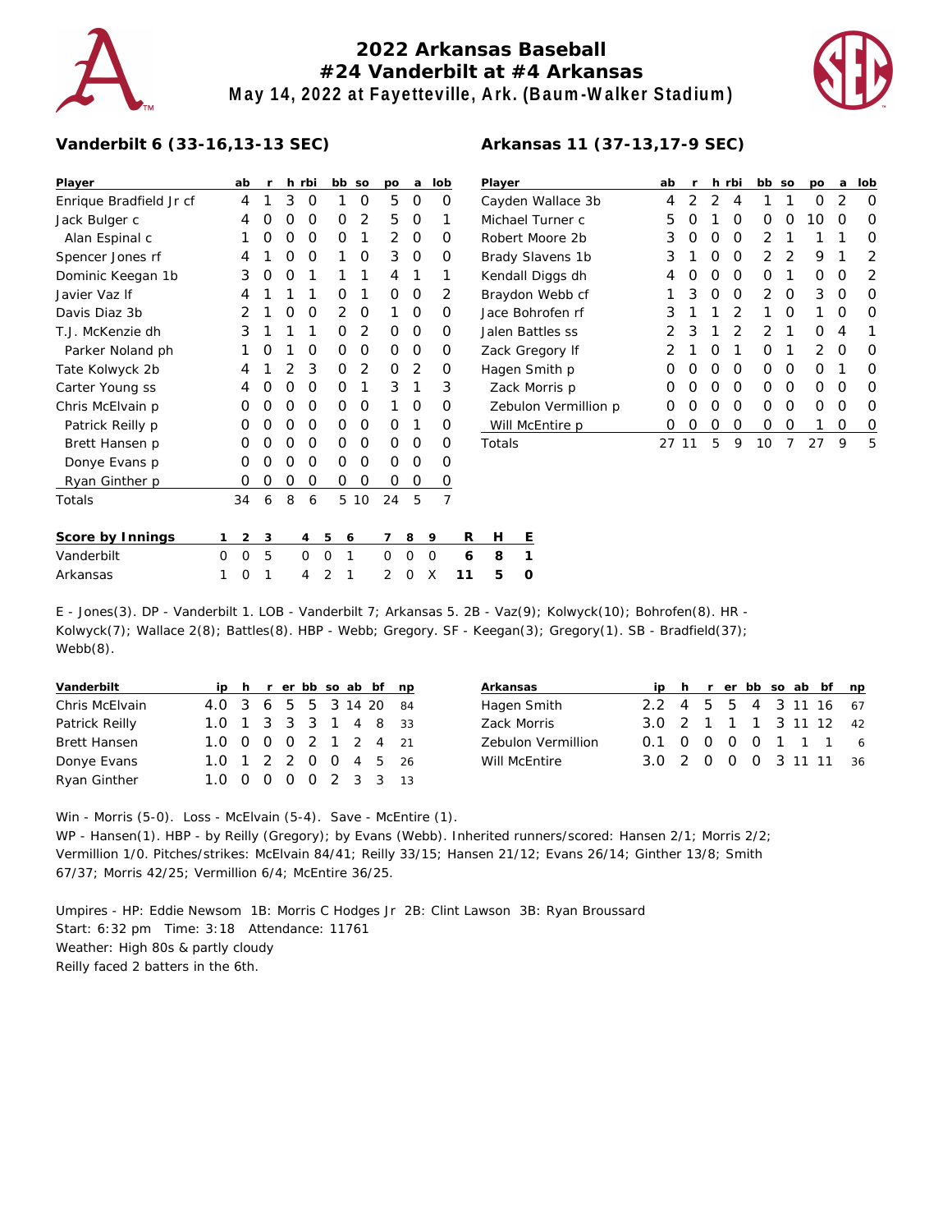# **2022 Arkansas Baseball #24 Vanderbilt at #4 Arkansas May 14, 2022 at Fayetteville, Ark. (Baum-Walker Stadium)**



### **Vanderbilt 6 (33-16,13-13 SEC)**

| Player                  |   | ab | r |               | h rbi     |   | bb | SO             | po       | а              | lob          |    |
|-------------------------|---|----|---|---------------|-----------|---|----|----------------|----------|----------------|--------------|----|
| Enrique Bradfield Jr cf |   | 4  | 1 | 3             | Ο         |   | 1  | O              | 5        | O              |              | Ο  |
| Jack Bulger c           |   | 4  | Ω | O             | 0         |   | 0  | $\overline{2}$ | 5        | $\Omega$       |              | 1  |
| Alan Espinal c          |   | 1  | Ο | O             | Ο         |   | 0  | 1              | 2        | O              |              | Ο  |
| Spencer Jones rf        |   | 4  | 1 | O             | Ω         |   | 1  | O              | 3        | O              |              | Ο  |
| Dominic Keegan 1b       |   | 3  | Ω | O             | 1         |   | 1  | 1              | 4        | 1              |              | 1  |
| Javier Vaz If           |   | 4  | 1 | 1             | 1         |   | Ω  | 1              | $\Omega$ | O              |              | 2  |
| Davis Diaz 3b           |   | 2  | 1 | O             | Ο         |   | 2  | 0              | 1        | O              |              | Ο  |
| T.J. McKenzie dh        |   | 3  | 1 | 1             | 1         |   | Ο  | 2              | O        | O              |              | Ο  |
| Parker Noland ph        |   | 1  | Ω | 1             | 0         |   | Ο  | O              | O        | O              |              | Ο  |
| Tate Kolwyck 2b         |   | 4  | 1 | $\mathcal{P}$ | 3         |   | Ο  | $\overline{2}$ | O        | $\overline{2}$ |              | Ο  |
| Carter Young ss         |   | 4  | Ω | O             | Ο         |   | 0  | 1              | 3        | 1              |              | 3  |
| Chris McElvain p        |   | Ο  | Ω | O             | Ο         |   | 0  | O              | 1        | Ο              |              | 0  |
| Patrick Reilly p        |   | Ω  | Ω | $\Omega$      | Ο         |   | Ο  | O              | $\Omega$ | 1              |              | Ο  |
| Brett Hansen p          |   | Ο  | Ο | O             | Ο         |   | 0  | 0              | O        | Ο              |              | Ο  |
| Donye Evans p           |   | Ο  | Ω | O             | Ο         |   | 0  | 0              | O        | Ο              |              | Ο  |
| Ryan Ginther p          |   | Ο  | Ω | Ο             | Ο         |   | 0  | 0              | O        | Ο              |              | 0  |
| Totals                  |   | 34 | 6 | 8             | 6         |   | 5  | 10             | 24       | 5              |              | 7  |
| Score by Innings        | 1 | 2  | 3 |               | 4         | 5 | 6  |                | 7        | 8              | 9            | R  |
| Vanderbilt              | Ω | O  | 5 |               | 0         | Ω | 1  |                | O        | 0              | $\Omega$     | 6  |
| Arkopese                | 1 | ⌒  | 1 |               | $\Lambda$ | ↑ | 1  |                | ◠        | $\cap$         | $\checkmark$ | 11 |

| Player               | ab               | r | h.            | rbi           | bb            | SO | po            | a | lob |
|----------------------|------------------|---|---------------|---------------|---------------|----|---------------|---|-----|
| Cayden Wallace 3b    | 4                | 2 | $\mathcal{D}$ | 4             | 1             | 1  | 0             | 2 | Ω   |
| Michael Turner c     | 5                | O | 1             | Ω             | Ω             | Ω  | 10            | Ω | Ω   |
| Robert Moore 2b      | 3                | Ο | O             | Ω             | 2             | 1  | 1             | 1 | Ω   |
| Brady Slavens 1b     | 3                | 1 | Ω             | O             | $\mathcal{P}$ | 2  | 9             | 1 | 2   |
| Kendall Diggs dh     | 4                | Ο | Ο             | Ω             | Ω             | 1  | O             | Ω | 2   |
| Braydon Webb cf      | 1                | 3 | O             | O             | $\mathcal{P}$ | O  | 3             | O | O   |
| Jace Bohrofen rf     | 3                | 1 | 1             | $\mathcal{P}$ | 1             | Ω  | 1             | Ω | Ω   |
| Jalen Battles ss     | $\mathcal{P}$    | 3 | 1             | $\mathcal{P}$ | $\mathcal{P}$ | 1  | O             | 4 |     |
| Zack Gregory If      | 2                | 1 | Ω             | 1             | Ω             | 1  | $\mathcal{P}$ | O | O   |
| Hagen Smith p        | $\left( \right)$ | O | O             | O             | Ω             | Ω  | ∩             | 1 | Ω   |
| Zack Morris p        | $\left( \right)$ | O | Ω             | O             | Ω             | Ω  | Ω             | Ω | Ω   |
| Zebulon Vermillion p | $\left( \right)$ | Ω | Ω             | O             | ∩             | ∩  | ∩             | Ω | O   |
| Will McEntire p      | 0                | Ω | Ο             | Ο             | Ω             | Ο  |               | Ο | O   |
| Totals               |                  |   | 5             | 9             | 10            | 7  | 27            | 9 | 5   |

| Score by Innings |  |  |  |  |  | 1 2 3 4 5 6 7 8 9 |                          | R H E |  |
|------------------|--|--|--|--|--|-------------------|--------------------------|-------|--|
| Vanderbilt       |  |  |  |  |  |                   | 0 0 5 0 0 1 0 0 0 6 8 1  |       |  |
| Arkansas         |  |  |  |  |  |                   | 1 0 1 4 2 1 2 0 X 11 5 0 |       |  |

E - Jones(3). DP - Vanderbilt 1. LOB - Vanderbilt 7; Arkansas 5. 2B - Vaz(9); Kolwyck(10); Bohrofen(8). HR - Kolwyck(7); Wallace 2(8); Battles(8). HBP - Webb; Gregory. SF - Keegan(3); Gregory(1). SB - Bradfield(37); Webb(8).

| Vanderbilt          |                        |  |  |  | ip h r er bb so ab bf np |  |
|---------------------|------------------------|--|--|--|--------------------------|--|
| Chris McElvain      | 4.0 3 6 5 5 3 14 20 84 |  |  |  |                          |  |
| Patrick Reilly      | 1.0 1 3 3 3 1 4 8 33   |  |  |  |                          |  |
| <b>Brett Hansen</b> | 1.0 0 0 0 2 1 2 4 21   |  |  |  |                          |  |
| Donye Evans         | 1.0 1 2 2 0 0 4 5 26   |  |  |  |                          |  |
| Ryan Ginther        | 1.0 0 0 0 0 2 3 3 13   |  |  |  |                          |  |

| Arkansas           |                        |  |  |  | ip h r er bb so ab bf np |
|--------------------|------------------------|--|--|--|--------------------------|
| Hagen Smith        | 2.2 4 5 5 4 3 11 16 67 |  |  |  |                          |
| Zack Morris        | 3.0 2 1 1 1 3 11 12 42 |  |  |  |                          |
| Zebulon Vermillion | 0.1 0 0 0 0 1 1 1 6    |  |  |  |                          |
| Will McEntire      | 3.0 2 0 0 0 3 11 11 36 |  |  |  |                          |

Win - Morris (5-0). Loss - McElvain (5-4). Save - McEntire (1). WP - Hansen(1). HBP - by Reilly (Gregory); by Evans (Webb). Inherited runners/scored: Hansen 2/1; Morris 2/2; Vermillion 1/0. Pitches/strikes: McElvain 84/41; Reilly 33/15; Hansen 21/12; Evans 26/14; Ginther 13/8; Smith 67/37; Morris 42/25; Vermillion 6/4; McEntire 36/25.

Umpires - HP: Eddie Newsom 1B: Morris C Hodges Jr 2B: Clint Lawson 3B: Ryan Broussard Start: 6:32 pm Time: 3:18 Attendance: 11761 Weather: High 80s & partly cloudy Reilly faced 2 batters in the 6th.

### **Arkansas 11 (37-13,17-9 SEC)**